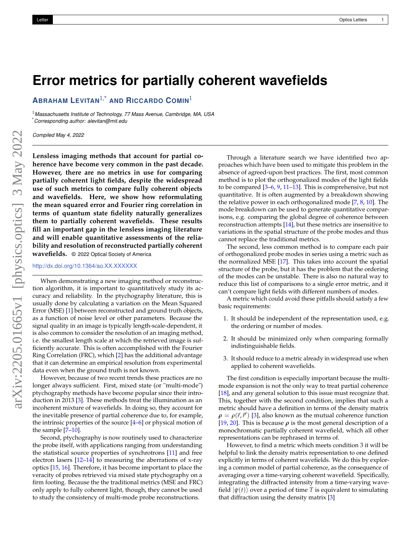## **Error metrics for partially coherent wavefields**

**ABRAHAM LEVITAN**1,\* **AND RICCARDO COMIN**<sup>1</sup>

<sup>1</sup>*Massachusetts Institute of Technology, 77 Mass Avenue, Cambridge, MA, USA* \**Corresponding author: alevitan@mit.edu*

*Compiled May 4, 2022*

**Lensless imaging methods that account for partial coherence have become very common in the past decade. However, there are no metrics in use for comparing partially coherent light fields, despite the widespread use of such metrics to compare fully coherent objects and wavefields. Here, we show how reformulating the mean squared error and Fourier ring correlation in terms of quantum state fidelity naturally generalizes them to partially coherent wavefields. These results fill an important gap in the lensless imaging literature and will enable quantitative assessments of the reliability and resolution of reconstructed partially coherent wavefields.** © 2022 Optical Society of America

http://dx.doi.org/10.1364/ao.XX.XXXXXX

When demonstrating a new imaging method or reconstruction algorithm, it is important to quantitatively study its accuracy and reliability. In the ptychography literature, this is usually done by calculating a variation on the Mean Squared Error (MSE) [1] between reconstructed and ground truth objects, as a function of noise level or other parameters. Because the signal quality in an image is typically length-scale-dependent, it is also common to consider the resolution of an imaging method, i.e. the smallest length scale at which the retrieved image is sufficiently accurate. This is often accomplished with the Fourier Ring Correlation (FRC), which [2] has the additional advantage that it can determine an empirical resolution from experimental data even when the ground truth is not known.

However, because of two recent trends these practices are no longer always sufficient. First, mixed state (or "multi-mode") ptychography methods have become popular since their introduction in 2013 [3]. These methods treat the illumination as an incoherent mixture of wavefields. In doing so, they account for the inevitable presence of partial coherence due to, for example, the intrinsic properties of the source  $[4-6]$  or physical motion of the sample [7–10].

Second, ptychography is now routinely used to characterize the probe itself, with applications ranging from understanding the statistical source properties of synchrotrons [11] and free electron lasers [12–14] to measuring the aberrations of x-ray optics [15, 16]. Therefore, it has become important to place the veracity of probes retrieved via mixed state ptychography on a firm footing. Because the the traditional metrics (MSE and FRC) only apply to fully coherent light, though, they cannot be used to study the consistency of multi-mode probe reconstructions.

Through a literature search we have identified two approaches which have been used to mitigate this problem in the absence of agreed-upon best practices. The first, most common method is to plot the orthogonalized modes of the light fields to be compared [3–6, 9, 11–13]. This is comprehensive, but not quantitative. It is often augmented by a breakdown showing the relative power in each orthogonalized mode [7, 8, 10]. The mode breakdown can be used to generate quantitative comparisons, e.g. comparing the global degree of coherence between reconstruction attempts [14], but these metrics are insensitive to variations in the spatial structure of the probe modes and thus cannot replace the traditional metrics.

The second, less common method is to compare each pair of orthogonalized probe modes in series using a metric such as the normalized MSE [17]. This takes into account the spatial structure of the probe, but it has the problem that the ordering of the modes can be unstable. There is also no natural way to reduce this list of comparisons to a single error metric, and it can't compare light fields with different numbers of modes.

A metric which could avoid these pitfalls should satisfy a few basic requirements:

- 1. It should be independent of the representation used, e.g. the ordering or number of modes.
- 2. It should be minimized only when comparing formally indistinguishable fields.
- 3. It should reduce to a metric already in widespread use when applied to coherent wavefields.

The first condition is especially important because the multimode expansion is not the only way to treat partial coherence [18], and any general solution to this issue must recognize that. This, together with the second condition, implies that such a metric should have a definition in terms of the density matrix  $\rho = \rho(\vec{r}, \vec{r}')$  [3], also known as the mutual coherence function [19, 20]. This is because  $\rho$  is the most general description of a monochromatic partially coherent wavefield, which all other representations can be rephrased in terms of.

However, to find a metric which meets condition 3 it will be helpful to link the density matrix representation to one defined explicitly in terms of coherent wavefields. We do this by exploring a common model of partial coherence, as the consequence of averaging over a time-varying coherent wavefield. Specifically, integrating the diffracted intensity from a time-varying wavefield  $|\psi(t)\rangle$  over a period of time *T* is equivalent to simulating that diffraction using the density matrix [3]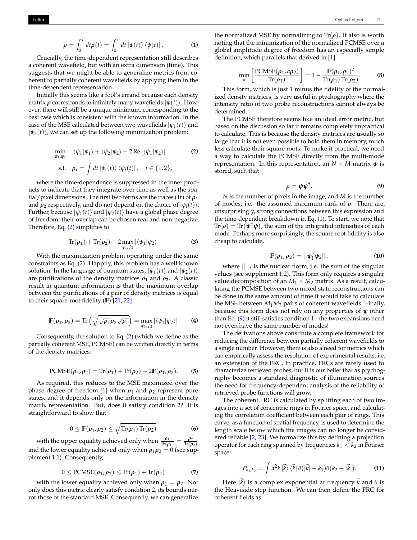$$
\rho = \int_0^T dt \rho(t) = \int_0^T dt \, |\psi(t)\rangle \, \langle \psi(t)| \,.
$$
 (1)

Crucially, the time-dependent representation still describes a coherent wavefield, but with an extra dimension (time). This suggests that we might be able to generalize metrics from coherent to partially coherent wavefields by applying them in the time-dependent representation.

Initially this seems like a fool's errand because each density matrix  $\rho$  corresponds to infinitely many wavefields  $|\psi(t)\rangle$ . However, there will still be a unique minimum, corresponding to the best case which is consistent with the known information. In the case of the MSE calculated between two wavefields  $|\psi_1(t)\rangle$  and  $|\psi_2(t)\rangle$ , we can set up the following minimization problem:

$$
\min_{\psi_1, \psi_2} \langle \psi_1 | \psi_1 \rangle + \langle \psi_2 | \psi_2 \rangle - 2 \operatorname{Re} \left[ \langle \psi_1 | \psi_2 \rangle \right] \tag{2}
$$
\n
$$
\text{s.t.} \quad \rho_i = \int dt \, |\psi_i(t) \rangle \, \langle \psi_i(t) |, \quad i \in \{1, 2\},
$$

where the time-dependence is suppressed in the inner products to indicate that they integrate over time as well as the spatial/pixel dimensions. The first two terms are the traces (Tr) of  $\rho_1$ and  $\rho_2$  respectively, and do not depend on the choice of  $|\psi_i(t)\rangle$ . Further, because  $|\psi_1(t)\rangle$  and  $|\psi_2(t)\rangle$  have a global phase degree of freedom, their overlap can be chosen real and non-negative. Therefore, Eq. (2) simplifies to

$$
\operatorname{Tr}(\rho_1)+\operatorname{Tr}(\rho_2)-2\max_{\psi_1,\psi_2}|\langle\psi_1|\psi_2\rangle|
$$
 (3)

With the maximization problem operating under the same constraints as Eq. (2). Happily, this problem has a well known solution. In the language of quantum states,  $|\psi_1(t)\rangle$  and  $|\psi_2(t)\rangle$ are purifications of the density matrices  $\rho_1$  and  $\rho_2$ . A classic result in quantum information is that the maximum overlap between the purifications of a pair of density matrices is equal to their square-root fidelity (**F**) [21, 22]:

$$
\mathbb{F}(\rho_1,\rho_2)=\text{Tr}\left(\sqrt{\sqrt{\rho_1}\rho_2\sqrt{\rho_1}}\right)=\max_{\psi_1,\psi_2}|\langle\psi_1|\psi_2\rangle|
$$
 (4)

Consequently, the solution to Eq. (2) (which we define as the partially coherent MSE, PCMSE) can be written directly in terms of the density matrices:

$$
\text{PCMSE}(\rho_1, \rho_2) = \text{Tr}(\rho_1) + \text{Tr}(\rho_2) - 2\mathbb{F}(\rho_1, \rho_2). \tag{5}
$$

As required, this reduces to the MSE maximized over the phase degree of freedom [1] when  $\rho_1$  and  $\rho_2$  represent pure states, and it depends only on the information in the density matrix representation. But, does it satisfy condition 2? It is straightforward to show that

$$
0 \leq \mathbb{F}(\rho_1, \rho_2) \leq \sqrt{\mathrm{Tr}(\rho_1) \mathrm{Tr}(\rho_2)}
$$
 (6)

with the upper equality achieved only when  $\frac{\rho_1}{\text{Tr}(\rho_1)} = \frac{\rho_2}{\text{Tr}(\rho)}$  $\text{Tr}({\pmb \rho}_2)$ and the lower equality achieved only when  $\rho_1 \rho_2 = 0$  (see supplement 1.1). Consequently,

$$
0 \leq \text{PCMSE}(\rho_1, \rho_2) \leq \text{Tr}(\rho_1) + \text{Tr}(\rho_2) \tag{7}
$$

with the lower equality achieved only when  $\rho_1 = \rho_2$ . Not only does this metric clearly satisfy condition 2, its bounds mirror those of the standard MSE. Consequently, we can generalize

the normalized MSE by normalizing to  $Tr(\rho)$ . It also is worth noting that the minimization of the normalized PCMSE over a global amplitude degree of freedom has an especially simple definition, which parallels that derived in [1]:

$$
\min_{a} \left[ \frac{\text{PCMSE}(\rho_1, a \rho_2)}{\text{Tr}(\rho_1)} \right] = 1 - \frac{\text{F}(\rho_1, \rho_2)^2}{\text{Tr}(\rho_1) \text{Tr}(\rho_2)}.
$$
 (8)

This form, which is just 1 minus the fidelity of the normalized density matrices, is very useful in ptychography where the intensity ratio of two probe reconstructions cannot always be determined.

The PCMSE therefore seems like an ideal error metric, but based on the discussion so far it remains completely impractical to calculate. This is because the density matrices are usually so large that it is not even possible to hold them in memory, much less calculate their square roots. To make it practical, we need a way to calculate the PCMSE directly from the multi-mode representation. In this representation, an  $N \times M$  matrix  $\psi$  is stored, such that

$$
\rho = \psi \psi^{\dagger}.
$$
 (9)

*N* is the number of pixels in the image, and *M* is the number of modes, i.e. the assumed maximum rank of *ρ*. There are, unsurprisingly, strong connections between this expression and the time-dependent breakdown in Eq.  $(1)$ . To start, we note that  $\text{Tr}(\boldsymbol{\rho}) = \text{Tr}(\boldsymbol{\psi}^{\dagger}\boldsymbol{\psi})$ , the sum of the integrated intensities of each mode. Perhaps more surprisingly, the square root fidelity is also cheap to calculate,

$$
\mathbb{F}(\rho_1, \rho_2) = ||\psi_1^{\dagger} \psi_2||_* \tag{10}
$$

where  $\|\|_*$  is the nuclear norm, i.e. the sum of the singular values (see supplement 1.2). This form only requires a singular value decomposition of an  $M_1 \times M_2$  matrix. As a result, calculating the PCMSE between two mixed state reconstructions can be done in the same amount of time it would take to calculate the MSE between  $M_1M_2$  pairs of coherent wavefields. Finally, because this form does not rely on any properties of *ψ* other than Eq. (9) it still satisfies condition 1 - the two expansions need not even have the same number of modes!

The derivations above constitute a complete framework for reducing the difference between partially coherent wavefields to a single number. However, there is also a need for metrics which can empirically assess the resolution of experimental results, i.e. an extension of the FRC. In practice, FRCs are rarely used to characterize retrieved probes, but it is our belief that as ptychography becomes a standard diagnostic of illumination sources the need for frequency-dependent analysis of the reliability of retrieved probe functions will grow.

The coherent FRC is calculated by splitting each of two images into a set of concentric rings in Fourier space, and calculating the correlation coefficient between each pair of rings. This curve, as a function of spatial frequency, is used to determine the length scale below which the images can no longer be considered reliable [2, 23]. We formalize this by defining a projection operator for each ring spanned by frequencies  $k_1 < k_2$  in Fourier space:

$$
\boldsymbol{P}_{k_1,k_2} = \int d^2k \left| \vec{k} \right\rangle \left\langle \vec{k} \right| \theta\left( \left| \vec{k} \right| - k_1 \right) \theta\left( k_2 - \left| \vec{k} \right| \right). \tag{11}
$$

Here  $|\vec{k}\rangle$  is a complex exponential at frequency  $\vec{k}$  and  $\theta$  is the Heaviside step function. We can then define the FRC for coherent fields as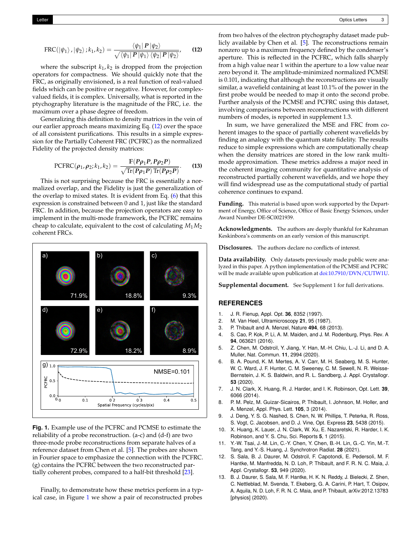$$
FRC(\ket{\psi_1},\ket{\psi_2};k_1,k_2)=\frac{\bra{\psi_1}\mathbf{P}\ket{\psi_2}}{\sqrt{\bra{\psi_1}\mathbf{P}\ket{\psi_1}\bra{\psi_2}\mathbf{P}\ket{\psi_2}}},\qquad(12)
$$

where the subscript *k*<sup>1</sup> , *k*<sup>2</sup> is dropped from the projection operators for compactness. We should quickly note that the FRC, as originally envisioned, is a real function of real-valued fields which can be positive or negative. However, for complexvalued fields, it is complex. Universally, what is reported in the ptychography literature is the magnitude of the FRC, i.e. the maximum over a phase degree of freedom.

Generalizing this definition to density matrices in the vein of our earlier approach means maximizing Eq. (12) over the space of all consistent purifications. This results in a simple expression for the Partially Coherent FRC (PCFRC) as the normalized Fidelity of the projected density matrices:

PCFRC
$$
(\rho_1, \rho_2; k_1, k_2)
$$
 = 
$$
\frac{\mathbb{F}(P\rho_1 P, P\rho_2 P)}{\sqrt{\text{Tr}(P\rho_1 P)\text{Tr}(P\rho_2 P)}}.
$$
 (13)

This is not surprising because the FRC is essentially a normalized overlap, and the Fidelity is just the generalization of the overlap to mixed states. It is evident from Eq. (6) that this expression is constrained between 0 and 1, just like the standard FRC. In addition, because the projection operators are easy to implement in the multi-mode framework, the PCFRC remains cheap to calculate, equivalent to the cost of calculating *M*1*M*<sup>2</sup> coherent FRCs.

**Fig. 1.** Example use of the PCFRC and PCMSE to estimate the reliability of a probe reconstruction. (a-c) and (d-f) are two three-mode probe reconstructions from separate halves of a reference dataset from Chen et al. [5]. The probes are shown in Fourier space to emphasize the connection with the PCFRC. (g) contains the PCFRC between the two reconstructed partially coherent probes, compared to a half-bit threshold [23].

Finally, to demonstrate how these metrics perform in a typical case, in Figure 1 we show a pair of reconstructed probes

from two halves of the electron ptychography dataset made publicly available by Chen et al. [5]. The reconstructions remain nonzero up to a maximum frequency defined by the condenser's aperture. This is reflected in the PCFRC, which falls sharply from a high value near 1 within the aperture to a low value near zero beyond it. The amplitude-minimized normalized PCMSE is 0.101, indicating that although the reconstructions are visually similar, a wavefield containing at least 10.1% of the power in the first probe would be needed to map it onto the second probe. Further analysis of the PCMSE and PCFRC using this dataset, involving comparisons between reconstructions with different numbers of modes, is reported in supplement 1.3.

In sum, we have generalized the MSE and FRC from coherent images to the space of partially coherent wavefields by finding an analogy with the quantum state fidelity. The results reduce to simple expressions which are computationally cheap when the density matrices are stored in the low rank multimode approximation. These metrics address a major need in the coherent imaging community for quantitative analysis of reconstructed partially coherent wavefields, and we hope they will find widespread use as the computational study of partial coherence continues to expand.

**Funding.** This material is based upon work supported by the Department of Energy, Office of Science, Office of Basic Energy Sciences, under Award Number DE-SC0021939.

**Acknowledgments.** The authors are deeply thankful for Kahraman Keskinbora's comments on an early version of this manuscript.

**Disclosures.** The authors declare no conflicts of interest.

**Data availability.** Only datasets previously made public were analyzed in this paper. A python implementation of the PCMSE and PCFRC will be made available upon publication at doi:10.7910/DVN/CUTW1U.

**Supplemental document.** See Supplement 1 for full derivations.

### **REFERENCES**

- 1. J. R. Fienup, Appl. Opt. **36**, 8352 (1997).
- 2. M. Van Heel, Ultramicroscopy **21**, 95 (1987).
- 3. P. Thibault and A. Menzel, Nature **494**, 68 (2013).
- 4. S. Cao, P. Kok, P. Li, A. M. Maiden, and J. M. Rodenburg, Phys. Rev. A **94**, 063621 (2016).
- 5. Z. Chen, M. Odstrcil, Y. Jiang, Y. Han, M.-H. Chiu, L.-J. Li, and D. A. Muller, Nat. Commun. **11**, 2994 (2020).
- 6. B. A. Pound, K. M. Mertes, A. V. Carr, M. H. Seaberg, M. S. Hunter, W. C. Ward, J. F. Hunter, C. M. Sweeney, C. M. Sewell, N. R. Weisse-Bernstein, J. K. S. Baldwin, and R. L. Sandberg, J. Appl. Crystallogr. **53** (2020).
- 7. J. N. Clark, X. Huang, R. J. Harder, and I. K. Robinson, Opt. Lett. **39**, 6066 (2014).
- 8. P. M. Pelz, M. Guizar-Sicairos, P. Thibault, I. Johnson, M. Holler, and A. Menzel, Appl. Phys. Lett. **105**, 3 (2014).
- 9. J. Deng, Y. S. G. Nashed, S. Chen, N. W. Phillips, T. Peterka, R. Ross, S. Vogt, C. Jacobsen, and D. J. Vine, Opt. Express **23**, 5438 (2015).
- 10. X. Huang, K. Lauer, J. N. Clark, W. Xu, E. Nazaretski, R. Harder, I. K. Robinson, and Y. S. Chu, Sci. Reports **5**, 1 (2015).
- 11. Y.-W. Tsai, J.-M. Lin, C.-Y. Chen, Y. Chen, B.-H. Lin, G.-C. Yin, M.-T. Tang, and Y.-S. Huang, J. Synchrotron Radiat. **28** (2021).
- 12. S. Sala, B. J. Daurer, M. Odstrcil, F. Capotondi, E. Pedersoli, M. F. Hantke, M. Manfredda, N. D. Loh, P. Thibault, and F. R. N. C. Maia, J. Appl. Crystallogr. **53**, 949 (2020).
- 13. B. J. Daurer, S. Sala, M. F. Hantke, H. K. N. Reddy, J. Bielecki, Z. Shen, C. Nettleblad, M. Svenda, T. Ekeberg, G. A. Carini, P. Hart, T. Osipov, A. Aquila, N. D. Loh, F. R. N. C. Maia, and P. Thibault, arXiv:2012.13783 [physics] (2020).

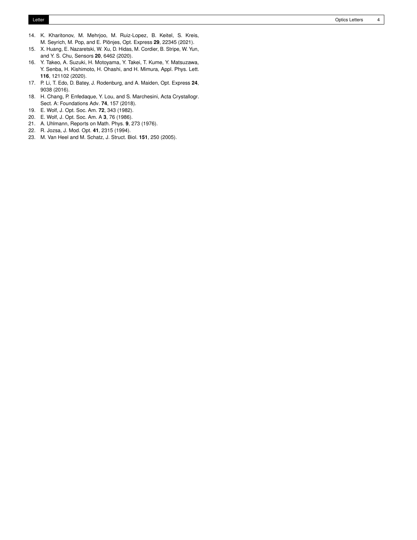- 14. K. Kharitonov, M. Mehrjoo, M. Ruiz-Lopez, B. Keitel, S. Kreis, M. Seyrich, M. Pop, and E. Plönjes, Opt. Express **29**, 22345 (2021).
- 15. X. Huang, E. Nazaretski, W. Xu, D. Hidas, M. Cordier, B. Stripe, W. Yun, and Y. S. Chu, Sensors **20**, 6462 (2020).
- 16. Y. Takeo, A. Suzuki, H. Motoyama, Y. Takei, T. Kume, Y. Matsuzawa, Y. Senba, H. Kishimoto, H. Ohashi, and H. Mimura, Appl. Phys. Lett. **116**, 121102 (2020).
- 17. P. Li, T. Edo, D. Batey, J. Rodenburg, and A. Maiden, Opt. Express **24**, 9038 (2016).
- 18. H. Chang, P. Enfedaque, Y. Lou, and S. Marchesini, Acta Crystallogr. Sect. A: Foundations Adv. **74**, 157 (2018).
- 19. E. Wolf, J. Opt. Soc. Am. **72**, 343 (1982).
- 20. E. Wolf, J. Opt. Soc. Am. A **3**, 76 (1986).
- 21. A. Uhlmann, Reports on Math. Phys. **9**, 273 (1976).
- 22. R. Jozsa, J. Mod. Opt. **41**, 2315 (1994).
- 23. M. Van Heel and M. Schatz, J. Struct. Biol. **151**, 250 (2005).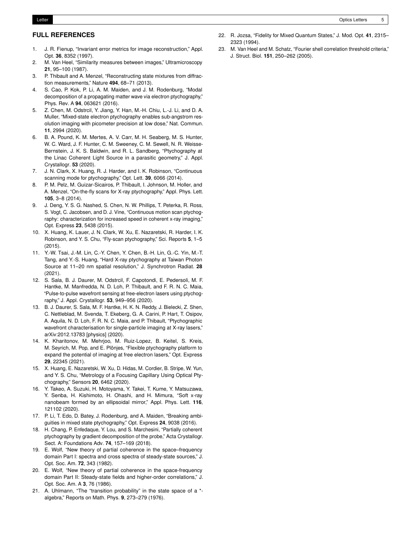#### Letter Optics Letters 5

### **FULL REFERENCES**

- 1. J. R. Fienup, "Invariant error metrics for image reconstruction," Appl. Opt. **36**, 8352 (1997).
- 2. M. Van Heel, "Similarity measures between images," Ultramicroscopy **21**, 95–100 (1987).
- 3. P. Thibault and A. Menzel, "Reconstructing state mixtures from diffraction measurements," Nature **494**, 68–71 (2013).
- 4. S. Cao, P. Kok, P. Li, A. M. Maiden, and J. M. Rodenburg, "Modal decomposition of a propagating matter wave via electron ptychography," Phys. Rev. A **94**, 063621 (2016).
- 5. Z. Chen, M. Odstrcil, Y. Jiang, Y. Han, M.-H. Chiu, L.-J. Li, and D. A. Muller, "Mixed-state electron ptychography enables sub-angstrom resolution imaging with picometer precision at low dose," Nat. Commun. **11**, 2994 (2020).
- 6. B. A. Pound, K. M. Mertes, A. V. Carr, M. H. Seaberg, M. S. Hunter, W. C. Ward, J. F. Hunter, C. M. Sweeney, C. M. Sewell, N. R. Weisse-Bernstein, J. K. S. Baldwin, and R. L. Sandberg, "Ptychography at the Linac Coherent Light Source in a parasitic geometry," J. Appl. Crystallogr. **53** (2020).
- 7. J. N. Clark, X. Huang, R. J. Harder, and I. K. Robinson, "Continuous scanning mode for ptychography," Opt. Lett. **39**, 6066 (2014).
- 8. P. M. Pelz, M. Guizar-Sicairos, P. Thibault, I. Johnson, M. Holler, and A. Menzel, "On-the-fly scans for X-ray ptychography," Appl. Phys. Lett. **105**, 3–8 (2014).
- 9. J. Deng, Y. S. G. Nashed, S. Chen, N. W. Phillips, T. Peterka, R. Ross, S. Vogt, C. Jacobsen, and D. J. Vine, "Continuous motion scan ptychography: characterization for increased speed in coherent x-ray imaging," Opt. Express **23**, 5438 (2015).
- 10. X. Huang, K. Lauer, J. N. Clark, W. Xu, E. Nazaretski, R. Harder, I. K. Robinson, and Y. S. Chu, "Fly-scan ptychography," Sci. Reports **5**, 1–5 (2015).
- 11. Y.-W. Tsai, J.-M. Lin, C.-Y. Chen, Y. Chen, B.-H. Lin, G.-C. Yin, M.-T. Tang, and Y.-S. Huang, "Hard X-ray ptychography at Taiwan Photon Source at 11–20 nm spatial resolution," J. Synchrotron Radiat. **28** (2021).
- 12. S. Sala, B. J. Daurer, M. Odstrcil, F. Capotondi, E. Pedersoli, M. F. Hantke, M. Manfredda, N. D. Loh, P. Thibault, and F. R. N. C. Maia, "Pulse-to-pulse wavefront sensing at free-electron lasers using ptychography," J. Appl. Crystallogr. **53**, 949–956 (2020).
- 13. B. J. Daurer, S. Sala, M. F. Hantke, H. K. N. Reddy, J. Bielecki, Z. Shen, C. Nettleblad, M. Svenda, T. Ekeberg, G. A. Carini, P. Hart, T. Osipov, A. Aquila, N. D. Loh, F. R. N. C. Maia, and P. Thibault, "Ptychographic wavefront characterisation for single-particle imaging at X-ray lasers," arXiv:2012.13783 [physics] (2020).
- 14. K. Kharitonov, M. Mehrjoo, M. Ruiz-Lopez, B. Keitel, S. Kreis, M. Seyrich, M. Pop, and E. Plönjes, "Flexible ptychography platform to expand the potential of imaging at free electron lasers," Opt. Express **29**, 22345 (2021).
- 15. X. Huang, E. Nazaretski, W. Xu, D. Hidas, M. Cordier, B. Stripe, W. Yun, and Y. S. Chu, "Metrology of a Focusing Capillary Using Optical Ptychography," Sensors **20**, 6462 (2020).
- 16. Y. Takeo, A. Suzuki, H. Motoyama, Y. Takei, T. Kume, Y. Matsuzawa, Y. Senba, H. Kishimoto, H. Ohashi, and H. Mimura, "Soft x-ray nanobeam formed by an ellipsoidal mirror," Appl. Phys. Lett. **116**, 121102 (2020).
- 17. P. Li, T. Edo, D. Batey, J. Rodenburg, and A. Maiden, "Breaking ambiguities in mixed state ptychography," Opt. Express **24**, 9038 (2016).
- 18. H. Chang, P. Enfedaque, Y. Lou, and S. Marchesini, "Partially coherent ptychography by gradient decomposition of the probe," Acta Crystallogr. Sect. A: Foundations Adv. **74**, 157–169 (2018).
- 19. E. Wolf, "New theory of partial coherence in the space–frequency domain Part I: spectra and cross spectra of steady-state sources," J. Opt. Soc. Am. **72**, 343 (1982).
- 20. E. Wolf, "New theory of partial coherence in the space-frequency domain Part II: Steady-state fields and higher-order correlations," J. Opt. Soc. Am. A **3**, 76 (1986).
- 21. A. Uhlmann, "The "transition probability" in the state space of a \* algebra," Reports on Math. Phys. **9**, 273–279 (1976).
- 22. R. Jozsa, "Fidelity for Mixed Quantum States," J. Mod. Opt. **41**, 2315– 2323 (1994).
- 23. M. Van Heel and M. Schatz, "Fourier shell correlation threshold criteria," J. Struct. Biol. **151**, 250–262 (2005).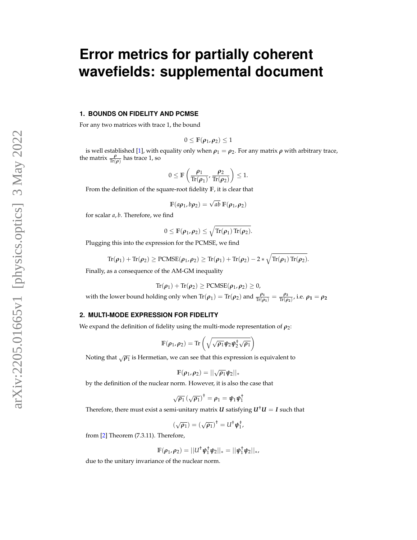# **Error metrics for partially coherent wavefields: supplemental document**

### **1. BOUNDS ON FIDELITY AND PCMSE**

For any two matrices with trace 1, the bound

$$
0\leq \mathbb{F}(\pmb{\rho}_1,\pmb{\rho}_2)\leq 1
$$

is well established [1], with equality only when  $\rho_1 = \rho_2$ . For any matrix  $\rho$  with arbitrary trace, the matrix  $\frac{\rho}{\text{Tr}(\rho)}$  has trace 1, so

$$
0\leq \mathbb{F}\left(\frac{\rho_1}{\text{Tr}(\rho_1)},\frac{\rho_2}{\text{Tr}(\rho_2)}\right)\leq 1.
$$

From the definition of the square-root fidelity **F**, it is clear that

$$
\mathbb{F}(a\rho_1, b\rho_2) = \sqrt{ab} \mathbb{F}(\rho_1, \rho_2)
$$

for scalar *a*, *b*. Therefore, we find

$$
0 \leq \mathbb{F}(\rho_1, \rho_2) \leq \sqrt{\mathrm{Tr}(\rho_1) \mathrm{Tr}(\rho_2)}.
$$

Plugging this into the expression for the PCMSE, we find

$$
\text{Tr}(\pmb{\rho}_1)+\text{Tr}(\pmb{\rho}_2)\geq \text{PCMSE}(\pmb{\rho}_1,\pmb{\rho}_2)\geq \text{Tr}(\pmb{\rho}_1)+\text{Tr}(\pmb{\rho}_2)-2*\sqrt{\text{Tr}(\pmb{\rho}_1)\,\text{Tr}(\pmb{\rho}_2)}.
$$

Finally, as a consequence of the AM-GM inequality

$$
Tr(\pmb{\rho}_1)+Tr(\pmb{\rho}_2)\geq PCMSE(\pmb{\rho}_1,\pmb{\rho}_2)\geq 0,
$$

with the lower bound holding only when  $\text{Tr}(\rho_1) = \text{Tr}(\rho_2)$  and  $\frac{\rho_1}{\text{Tr}(\rho_1)} = \frac{\rho_2}{\text{Tr}(\rho_2)}$  $\frac{\rho_2}{\text{Tr}(\rho_2)}$ , i.e.  $\rho_1 = \rho_2$ 

### **2. MULTI-MODE EXPRESSION FOR FIDELITY**

We expand the definition of fidelity using the multi-mode representation of  $\rho_2$ :

$$
\mathbb{F}(\rho_1,\rho_2)=\text{Tr}\left(\sqrt{\sqrt{\rho_1}\psi_2\psi_2^{\dagger}\sqrt{\rho_1}}\right)
$$

Noting that  $\sqrt{\rho_1}$  is Hermetian, we can see that this expression is equivalent to

$$
\mathbb{F}(\rho_1,\rho_2)=||\sqrt{\rho_1}\psi_2||_*
$$

by the definition of the nuclear norm. However, it is also the case that

$$
\sqrt{\rho_1} \left(\sqrt{\rho_1}\right)^{\dagger} = \rho_1 = \psi_1 \psi_1^{\dagger}
$$

Therefore, there must exist a semi-unitary matrix *U* satisfying  $U^{\dagger}U = I$  such that

$$
(\sqrt{\rho_1}) = (\sqrt{\rho_1})^{\dagger} = U^{\dagger} \psi_1^{\dagger},
$$

from [2] Theorem (7.3.11). Therefore,

$$
\mathbb{F}(\rho_1,\rho_2)=||U^{\dagger}\psi_1^{\dagger}\psi_2||_*=||\psi_1^{\dagger}\psi_2||_*,
$$

due to the unitary invariance of the nuclear norm.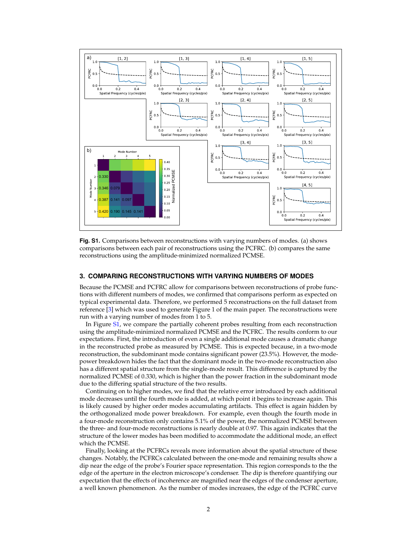

**Fig. S1.** Comparisons between reconstructions with varying numbers of modes. (a) shows comparisons between each pair of reconstructions using the PCFRC. (b) compares the same reconstructions using the amplitude-minimized normalized PCMSE.

### **3. COMPARING RECONSTRUCTIONS WITH VARYING NUMBERS OF MODES**

Because the PCMSE and PCFRC allow for comparisons between reconstructions of probe functions with different numbers of modes, we confirmed that comparisons perform as expected on typical experimental data. Therefore, we performed 5 reconstructions on the full dataset from reference [3] which was used to generate Figure 1 of the main paper. The reconstructions were run with a varying number of modes from 1 to 5.

In Figure S1, we compare the partially coherent probes resulting from each reconstruction using the amplitude-minimized normalized PCMSE and the PCFRC. The results conform to our expectations. First, the introduction of even a single additional mode causes a dramatic change in the reconstructed probe as measured by PCMSE. This is expected because, in a two-mode reconstruction, the subdominant mode contains significant power (23.5%). However, the modepower breakdown hides the fact that the dominant mode in the two-mode reconstruction also has a different spatial structure from the single-mode result. This difference is captured by the normalized PCMSE of 0.330, which is higher than the power fraction in the subdominant mode due to the differing spatial structure of the two results.

Continuing on to higher modes, we find that the relative error introduced by each additional mode decreases until the fourth mode is added, at which point it begins to increase again. This is likely caused by higher order modes accumulating artifacts. This effect is again hidden by the orthogonalized mode power breakdown. For example, even though the fourth mode in a four-mode reconstruction only contains 5.1% of the power, the normalized PCMSE between the three- and four-mode reconstructions is nearly double at 0.97. This again indicates that the structure of the lower modes has been modified to accommodate the additional mode, an effect which the PCMSE.

Finally, looking at the PCFRCs reveals more information about the spatial structure of these changes. Notably, the PCFRCs calculated between the one-mode and remaining results show a dip near the edge of the probe's Fourier space representation. This region corresponds to the the edge of the aperture in the electron microscope's condenser. The dip is therefore quantifying our expectation that the effects of incoherence are magnified near the edges of the condenser aperture, a well known phenomenon. As the number of modes increases, the edge of the PCFRC curve